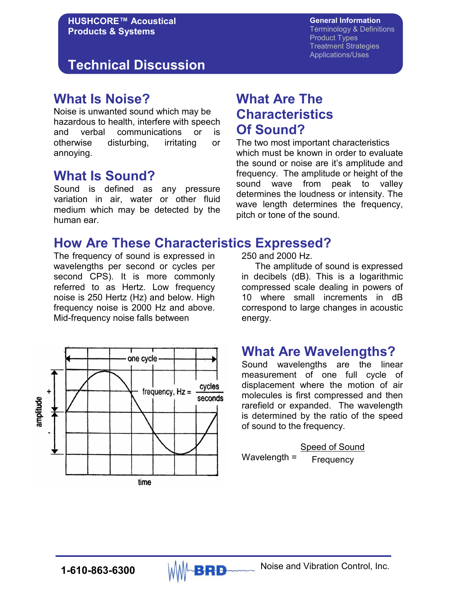# **Technical Discussion**

### **What Is Noise?**

Noise is unwanted sound which may be hazardous to health, interfere with speech and verbal communications or is otherwise disturbing, irritating or annoying.

## **What Is Sound?**

Sound is defined as any pressure variation in air, water or other fluid medium which may be detected by the human ear.

# **What Are The Characteristics Of Sound?**

The two most important characteristics which must be known in order to evaluate the sound or noise are it's amplitude and frequency. The amplitude or height of the sound wave from peak to valley determines the loudness or intensity. The wave length determines the frequency, pitch or tone of the sound.

### **How Are These Characteristics Expressed?**

The frequency of sound is expressed in wavelengths per second or cycles per second CPS). It is more commonly referred to as Hertz. Low frequency noise is 250 Hertz (Hz) and below. High frequency noise is 2000 Hz and above. Mid-frequency noise falls between



250 and 2000 Hz.

 The amplitude of sound is expressed in decibels (dB). This is a logarithmic compressed scale dealing in powers of 10 where small increments in dB correspond to large changes in acoustic energy.

# **What Are Wavelengths?**

Sound wavelengths are the linear measurement of one full cycle of displacement where the motion of air molecules is first compressed and then rarefield or expanded. The wavelength is determined by the ratio of the speed of sound to the frequency.

 Speed of Sound Wavelength = Frequency

**1-610-863-6300** MMA**BRD** Noise and Vibration Control, Inc.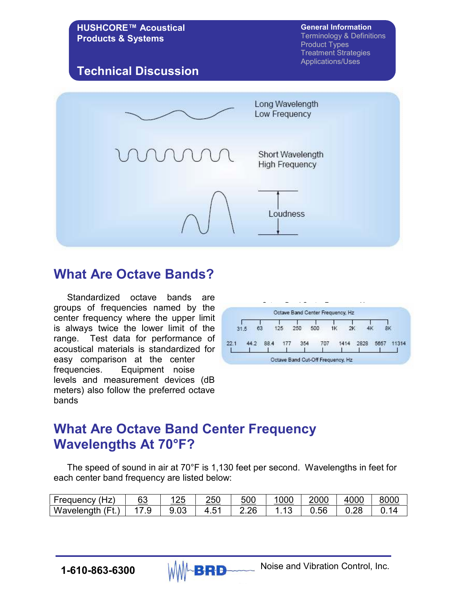

### **What Are Octave Bands?**

 Standardized octave bands are groups of frequencies named by the center frequency where the upper limit is always twice the lower limit of the range. Test data for performance of acoustical materials is standardized for easy comparison at the center frequencies. Equipment noise levels and measurement devices (dB meters) also follow the preferred octave bands



# **What Are Octave Band Center Frequency Wavelengths At 70°F?**

 The speed of sound in air at 70°F is 1,130 feet per second. Wavelengths in feet for each center band frequency are listed below:

| (Hz<br><b>Frequency</b>  | 60<br>υJ | つに<br>.∠ ک | 250    | 500  | . ? ?<br>uuu | 2000 | 4000 | 800r |
|--------------------------|----------|------------|--------|------|--------------|------|------|------|
| .<br>Wavelength<br>⊢<br> | .৬       | ອ.ບວ       | ᆮ<br>J | 2.26 |              | U.56 | บ.zะ |      |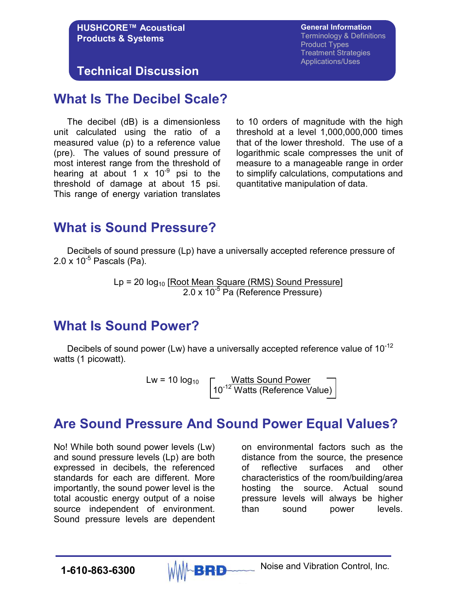#### **HUSHCORE™ Acoustical Products & Systems**

**General Information** Terminology & Definitions Product Types Treatment Strategies Applications/Uses

**Technical Discussion** 

### **What Is The Decibel Scale?**

 The decibel (dB) is a dimensionless unit calculated using the ratio of a measured value (p) to a reference value (pre). The values of sound pressure of most interest range from the threshold of hearing at about 1 x  $10^{-9}$  psi to the threshold of damage at about 15 psi. This range of energy variation translates

to 10 orders of magnitude with the high threshold at a level 1,000,000,000 times that of the lower threshold. The use of a logarithmic scale compresses the unit of measure to a manageable range in order to simplify calculations, computations and quantitative manipulation of data.

# **What is Sound Pressure?**

 Decibels of sound pressure (Lp) have a universally accepted reference pressure of  $2.0 \times 10^{-5}$  Pascals (Pa).

> Lp = 20  $log_{10}$  [Root Mean Square (RMS) Sound Pressure] 2.0 x 10<sup>-5</sup> Pa (Reference Pressure)

# **What Is Sound Power?**

Decibels of sound power (Lw) have a universally accepted reference value of  $10^{-12}$ watts (1 picowatt).

Lw = 10  $log_{10}$   $\fbox{C}$  <u>Watts Sound Power</u> and 10<sup>-12</sup> Watts (Reference Value)

# **Are Sound Pressure And Sound Power Equal Values?**

No! While both sound power levels (Lw) and sound pressure levels (Lp) are both expressed in decibels, the referenced standards for each are different. More importantly, the sound power level is the total acoustic energy output of a noise source independent of environment. Sound pressure levels are dependent

on environmental factors such as the distance from the source, the presence of reflective surfaces and other characteristics of the room/building/area hosting the source. Actual sound pressure levels will always be higher than sound power levels.

**1-610-863-6300** MMA**BRD** Noise and Vibration Control, Inc.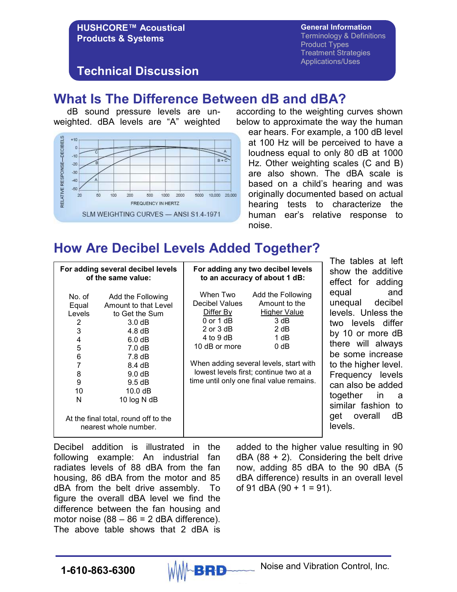#### **General Information**

**HUSHCORE™ Acoustical Products & Systems** 

Terminology & Definitions Product Types Treatment Strategies Applications/Uses

#### **Technical Discussion**

### **What Is The Difference Between dB and dBA?**

 dB sound pressure levels are unweighted. dBA levels are "A" weighted



according to the weighting curves shown below to approximate the way the human

ear hears. For example, a 100 dB level at 100 Hz will be perceived to have a loudness equal to only 80 dB at 1000 Hz. Other weighting scales (C and B) are also shown. The dBA scale is based on a child's hearing and was originally documented based on actual hearing tests to characterize the human ear's relative response to noise.

# **How Are Decibel Levels Added Together?**

| No. of<br>Equal<br>Levels<br>2<br>3   | For adding several decibel levels<br>of the same value:<br>Add the Following<br>Amount to that Level<br>to Get the Sum<br>3.0 dB                                          |                                | For adding any two decibel levels<br>to an accuracy of about 1 dB:<br>Add the Following<br>Amount to the<br><b>Higher Value</b><br>3 dB<br>2 dB | The tables at left<br>show the additive<br>effect for adding<br>and<br>equal<br>unequal decibel<br>levels. Unless the<br>two levels differ                                                             |  |  |
|---------------------------------------|---------------------------------------------------------------------------------------------------------------------------------------------------------------------------|--------------------------------|-------------------------------------------------------------------------------------------------------------------------------------------------|--------------------------------------------------------------------------------------------------------------------------------------------------------------------------------------------------------|--|--|
| 4<br>5<br>6<br>7<br>8<br>9<br>10<br>N | 4.8 dB<br>6.0 dB<br>7.0 dB<br>7.8 dB<br>8.4 dB<br>9.0 <sub>d</sub> B<br>9.5 dB<br>10.0 dB<br>10 log N dB<br>At the final total, round off to the<br>nearest whole number. | $4$ to $9$ dB<br>10 dB or more | 1 dB<br>$0$ dB<br>When adding several levels, start with<br>lowest levels first; continue two at a<br>time until only one final value remains.  | by 10 or more dB<br>there will always<br>be some increase<br>to the higher level.<br>Frequency levels<br>can also be added<br>together in<br>- a<br>similar fashion to<br>dB<br>get overall<br>levels. |  |  |

Decibel addition is illustrated in the following example: An industrial fan radiates levels of 88 dBA from the fan housing, 86 dBA from the motor and 85 dBA from the belt drive assembly. To figure the overall dBA level we find the difference between the fan housing and motor noise  $(88 - 86 = 2$  dBA difference). The above table shows that 2 dBA is

added to the higher value resulting in 90  $dBA$  (88 + 2). Considering the belt drive now, adding 85 dBA to the 90 dBA (5 dBA difference) results in an overall level of 91 dBA (90 + 1 = 91).

**1-610-863-6300** MMA**BRD** Noise and Vibration Control, Inc.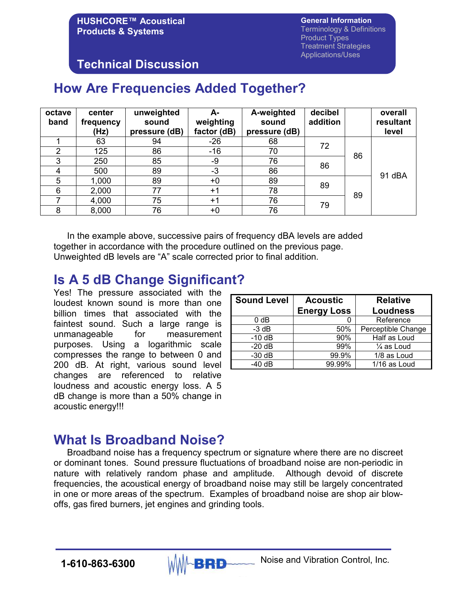**General Information** Terminology & Definitions Product Types Treatment Strategies Applications/Uses

### **Technical Discussion**

# **How Are Frequencies Added Together?**

| octave<br>band | center<br>frequency<br>(Hz) | unweighted<br>sound<br>pressure (dB) | А-<br>weighting<br>factor (dB) | A-weighted<br>sound<br>pressure (dB) | decibel<br>addition |    | overall<br>resultant<br>level |
|----------------|-----------------------------|--------------------------------------|--------------------------------|--------------------------------------|---------------------|----|-------------------------------|
|                | 63                          | 94                                   | $-26$                          | 68                                   | 72                  |    |                               |
| 2              | 125                         | 86                                   | $-16$                          | 70                                   |                     | 86 |                               |
| 3              | 250                         | 85                                   | -9                             | 76                                   | 86                  |    | 91 dBA                        |
| 4              | 500                         | 89                                   | $-3$                           | 86                                   |                     |    |                               |
| 5              | 1,000                       | 89                                   | +0                             | 89                                   | 89                  |    |                               |
| 6              | 2,000                       | 77                                   | $+1$                           | 78                                   |                     | 89 |                               |
|                | 4,000                       | 75                                   | $+1$                           | 76                                   | 79                  |    |                               |
| 8              | 8,000                       | 76                                   | +0                             | 76                                   |                     |    |                               |

 In the example above, successive pairs of frequency dBA levels are added together in accordance with the procedure outlined on the previous page. Unweighted dB levels are "A" scale corrected prior to final addition.

### **Is A 5 dB Change Significant?**

Yes! The pressure associated with the loudest known sound is more than one billion times that associated with the faintest sound. Such a large range is unmanageable for measurement purposes. Using a logarithmic scale compresses the range to between 0 and 200 dB. At right, various sound level changes are referenced to relative loudness and acoustic energy loss. A 5 dB change is more than a 50% change in acoustic energy!!!

| <b>Sound Level</b> | <b>Acoustic</b><br><b>Energy Loss</b> | <b>Relative</b><br><b>Loudness</b> |
|--------------------|---------------------------------------|------------------------------------|
| 0 <sub>d</sub> B   | 0                                     | Reference                          |
| $-3$ dB            | 50%                                   | Perceptible Change                 |
| $-10$ dB           | 90%                                   | Half as Loud                       |
| $-20dB$            | 99%                                   | $\frac{1}{4}$ as Loud              |
| $-30$ dB           | 99.9%                                 | 1/8 as Loud                        |
| $-40$ dB           | 99.99%                                | 1/16 as Loud                       |

# **What Is Broadband Noise?**

Broadband noise has a frequency spectrum or signature where there are no discreet or dominant tones. Sound pressure fluctuations of broadband noise are non-periodic in nature with relatively random phase and amplitude. Although devoid of discrete frequencies, the acoustical energy of broadband noise may still be largely concentrated in one or more areas of the spectrum. Examples of broadband noise are shop air blowoffs, gas fired burners, jet engines and grinding tools.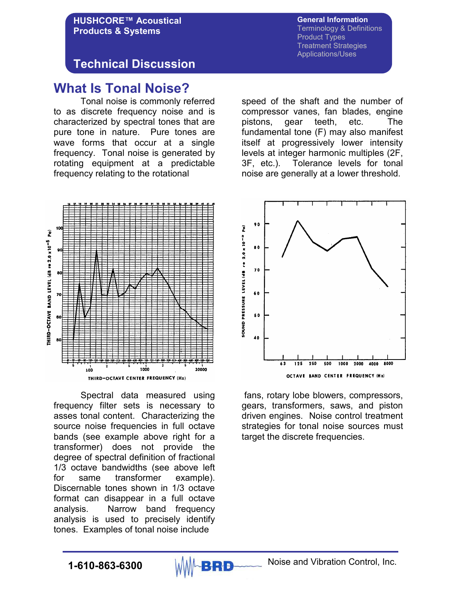**General Information** Terminology & Definitions Product Types Treatment Strategies Applications/Uses

### **Technical Discussion**

**HUSHCORE™ Acoustical**

**Products & Systems** 

### **What Is Tonal Noise?**

 Tonal noise is commonly referred to as discrete frequency noise and is characterized by spectral tones that are pure tone in nature. Pure tones are wave forms that occur at a single frequency. Tonal noise is generated by rotating equipment at a predictable frequency relating to the rotational

speed of the shaft and the number of compressor vanes, fan blades, engine pistons, gear teeth, etc. The fundamental tone (F) may also manifest itself at progressively lower intensity levels at integer harmonic multiples (2F, 3F, etc.). Tolerance levels for tonal noise are generally at a lower threshold.



 Spectral data measured using frequency filter sets is necessary to asses tonal content. Characterizing the source noise frequencies in full octave bands (see example above right for a transformer) does not provide the degree of spectral definition of fractional 1/3 octave bandwidths (see above left for same transformer example). Discernable tones shown in 1/3 octave format can disappear in a full octave analysis. Narrow band frequency analysis is used to precisely identify tones. Examples of tonal noise include



 fans, rotary lobe blowers, compressors, gears, transformers, saws, and piston driven engines. Noise control treatment strategies for tonal noise sources must target the discrete frequencies.